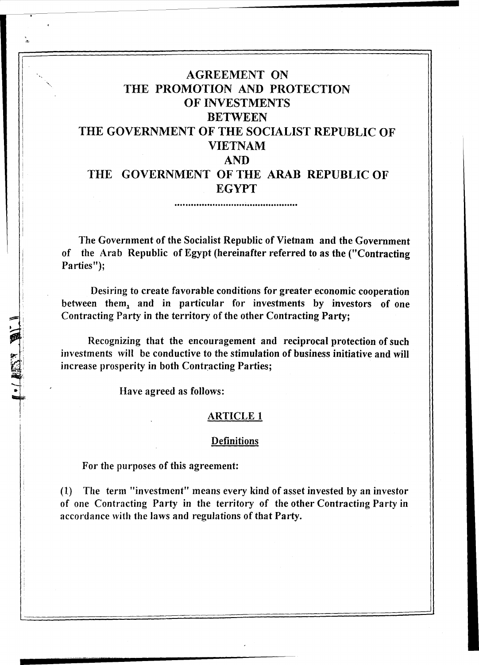# AGREEMENT ON THE PROMOTION AND PROTECTION OF INVESTMENTS **BETWEEN** THE GOVERNMENT OF THE SOCIALIST REPUBLIC OF VIETNAM AND THE GOVERNMENT OF THE ARAB REPUBLIC OF

EGYPT

The Government of the Socialist Republic of Vietnam and the Government of the Arab Republic of Egypt (hereinafter referred to as the ("Contracting Parties");

Desiring to create favorable conditions for greater economic cooperation between them, and in particular for investments by investors of one Contracting Party in the territory of the other Contracting Party;

Recognizing that the encouragement and reciprocal protection of such investments will be conductive to the stimulation of business initiative and will increase prosperity in both Contracting Parties;

Have agreed as follows:

...... ,

#### ARTICLE 1

#### **Definitions**

For the purposes of this agreement:

(1) The term "investment" means every kind of asset invested by an investor of one Contracting Party in the territory of the other Contracting Party in accordance with the laws and regulations of that Party.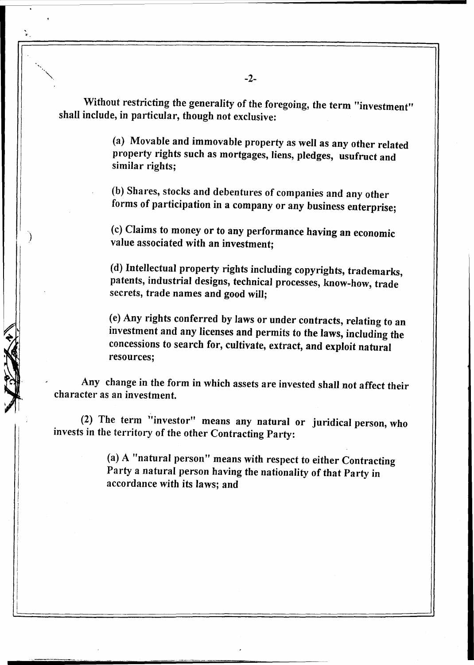Without restricting the generality of the foregoing, the term "investment" shall include, in particular, though not exclusive:

> (a) Movable and immovable property as well as any other related property rights such as mortgages, liens, pledges, usufruct and similar rights;

(b) Shares, stocks and debentures of companies and any other forms of participation in a company or any business enterprise;

(c) Claims to money or to any performance having an economic value associated with an investment;

(d) Intellectual property rights including copyrights, trademarks, patents, industrial designs, technical processes, know-how, trade secrets, trade names and good will;

(e) Any rights conferred by laws or under contracts, relating to an investment and any licenses and permits to the laws, including the concessions to search for, cultivate, extract, and exploit natural resources;

Any change in the form in which assets are invested shall not affect their character as an investment.

(2) The term "investor" means any natural or juridical person, who invests in the territory of the other Contracting Party:

 $\prod$ 

, .<br>.<br>.

)

(a) A "natural person" means with respect to either Contracting Party a natural person having the nationality of that Party in accordance with its laws; and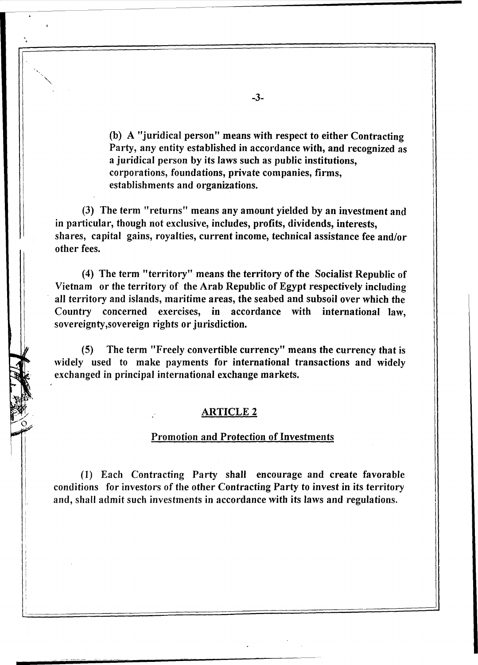(b) A "juridical person" means with respect to either Contracting Party, any entity established in accordance with, and recognized as a juridical person by its laws such as public institutions, corporations, foundations, private companies, firms, establishments and organizations.

(3) The term "returns" means any amount yielded by an investment and in particular, though not exclusive, includes, profits, dividends, interests, shares, capital gains, royalties, current income, technical assistance fee and/or other fees.

(4) The term "territory" means the territory of the Socialist Republic of Vietnam or the territory of the Arab Republic of Egypt respectively including all territory and islands, maritime areas, the seabed and subsoil over which the Country concerned exercises, in accordance with international law, sovereignty,sovereign rights or jurisdiction.

(5) The term "Freely convertible currency" means the currency that is widely used to make payments for international transactions and widely exchanged in principal international exchange markets.

#### ARTICLE 2

#### Promotion and Protection of Investments

(1) Each Contracting Party shall encourage and create favorable conditions for investors of the other Contracting Party to invest in its territory and, shall admit such investments in accordance with its laws and regulations.

~3~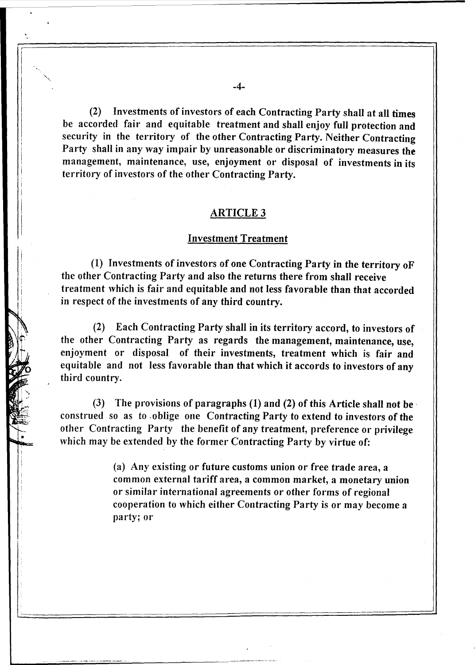(2) Investments of investors of each Contracting Party shall at all times be accorded fair and equitable treatment and shall enjoy full protection and security in the territory of the other Contracting Party. Neither Contracting Party shall in any way impair by unreasonable or discriminatory measures the management, maintenance, use, enjoyment or disposal of investments in its territory of investors of the other Contracting Party.

### ARTICLE 3

#### Investment Treatment

(1) Investments of investors of one Contracting Party in the territory of the other Contracting Party and also the returns there from shall receive treatment which is fair and equitable and not less favorable than that accorded in respect of the investments of any third country.

(2) Each Contracting Party shall in its territory accord, to investors of the other Contracting Party as regards the management, maintenance, use, enjoyment or disposal of their investments, treatment which is fair and equitable and not less favorable than that which it accords to investors of any third country.

(3) The provisions of paragraphs (1) and (2) of this Article shall not be construed so as to, oblige one Contracting Party to extend to investors of the other Contracting Party the benefit of any treatment, preference or privilege which may be extended by the former Contracting Party by virtue of:

> (a) Any existing or future customs union or free trade area, a common external tariff area, a common market, a monetary union or similar international agreements or other forms of regional cooperation to which either Contracting Party is or may become a party; or

.

.

""

, ŗ I

I I I  $\vert$ I  $\vert$  $\vert$ I I I I I i i I I I

! :

Ii

 $\mathcal{N}$ 

 $\sum_{i=1}^n$ 

 $\sqrt{1}$ . Jo

I ROCK

 $\sim$ ~

> I I

**\*** i

,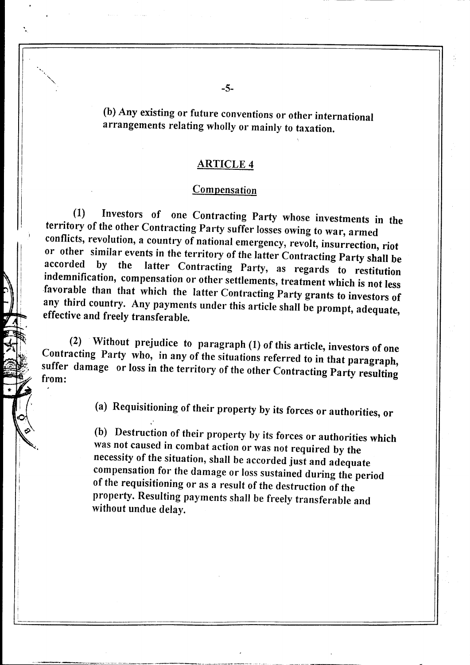(b) Any existing or future conventions or other international arrangements relating wholly or mainly to taxation.

#### ARTICLE 4

#### **Compensation**

(1) Investors of one Contracting Party whose investments in the territory of the other Contracting Party suffer losses owing to war, armed conflicts, revolution, a country of national emergency, revolt, insurrection, riot or other similar events in the territory of the latter Contracting Party shall be<br>accorded by the latter Contracting Party as records latter Contracting Party, as regards to restitution indemnification, compensation or other settlements, treatment which is not less favorable than that which the latter Contracting Party grants to investors of any third country. Any payments under this article shall be prompt, adequate, effective and freely transferable.

P\ |  $\vdash$  III ,  $\perp$   $\perp$ **times**  $\frac{1}{2}$ 

 $\frac{1}{2}$ 

 $f(2)$  Without prejudice to paragraph  $(1)$  of this article, investors of one Contracting Party who, in any of the situations referred to in that paragraph, suffer damage or loss in the territory of the other Contracting Party resulting from: **Firem:** 

(a) Requisitioning of their property by its forces or authorities, or

(b) Destruction of their property by its forces or authorities which was not caused in combat action or was not required by the necessity of the situation, shall be accorded just and adequate compensation for the damage or loss sustained during the period of the requisitioning or as a result of the destruction of the property. Resulting payments shall be freely transferable and without undue delay.

-- ----- ----.-.. -----~----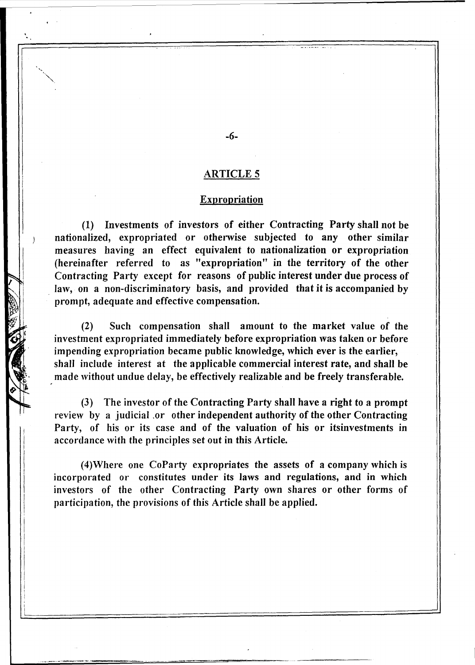#### Expropriation

(1) Investments of investors of either Contracting Party shall not be nationalized, expropriated or otherwise subjected to any other similar measures having an effect equivalent to nationalization or expropriation (hereinafter referred to as "expropriation" in the territory of the other Contracting Party except for reasons of public interest under due process of law, on a non-discriminatory basis, and provided that it is accompanied by prompt, adequate and effective compensation.

(2) Such compensation shall amount to the market value of the investment expropriated immediately before expropriation was taken or before impending expropriation became public knowledge, which ever is the earlier, shall include interest at the applicable commercial interest rate, and shall be made without undue delay, be effectively realizable and be freely transferable.

(3) The investor of the Contracting Party shall have a right to a prompt review by a judicial .or other independent authority of the other Contracting Party, of his or its case and of the valuation of his or itsinvestments in accordance with the principles set out in this Article.

(4)\Vhere one CoParty expropriates the assets of a company which is incorporated or constitutes under its laws and regulations, and in which investors of the other Contracting Party own shares or other forms of participation, the provisions of this Article shall be applied.

-6-

I '-

 $\overline{)}$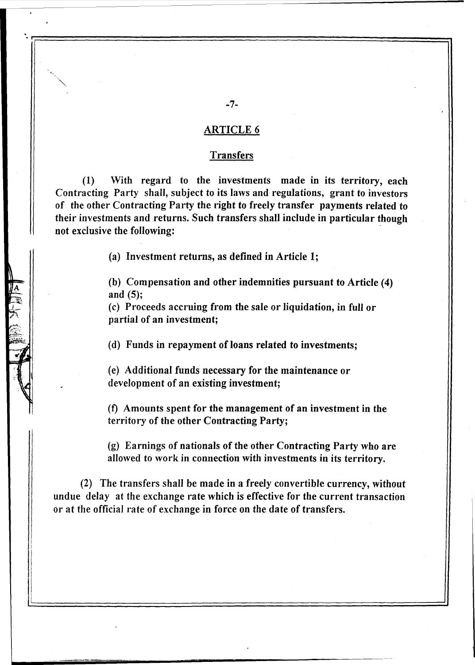#### Transfers

 $(1)$  With regard to the investments made in its territory, each Contracting Party shall, subject to its laws and regulations, grant to investors of the other Contracting Party the right to freely transfer payments related to their investments and returns. Such transfers shall include in particular though not exclusive the following: .

(a) Investment returns, as defined in Article 1;

(b) Compensation and other indemnities pursuant to Article (4) and (5);

(c) Proceeds accruing from the sale or liquidation, in full or partial of an investment;

(d) Funds in repayment of loans related to investments;

(e) Additional funds necessary for the maintenance or development of an existing investment;

(1) Amounts spent for the management of an investment in the territory of the other Contracting Party;

(g) Earnings of nationals of the other Contracting Party who are allowed to work in connection with investments in its territory.

(2) The transfers shall be made in a freely convertible currency, without undue delay at the exchange rate which is effective for the current transaction or at the official rate of exchange in force on the date of transfers.

)1

I

I

-7-

 $\cdot$  :  $\frac{1}{\sqrt{2}}$  .  $\frac{1}{\sqrt{2}}$  .  $\frac{1}{\sqrt{2}}$  .  $\frac{1}{\sqrt{2}}$  .  $\frac{1}{\sqrt{2}}$  .  $\frac{1}{\sqrt{2}}$  .  $\frac{1}{\sqrt{2}}$  .  $\frac{1}{\sqrt{2}}$  .  $\frac{1}{\sqrt{2}}$  .  $\frac{1}{\sqrt{2}}$  .  $\frac{1}{\sqrt{2}}$  .  $\frac{1}{\sqrt{2}}$  .  $\frac{1}{\sqrt{2}}$  .  $\frac{1}{\sqrt{2}}$  .  $\frac{$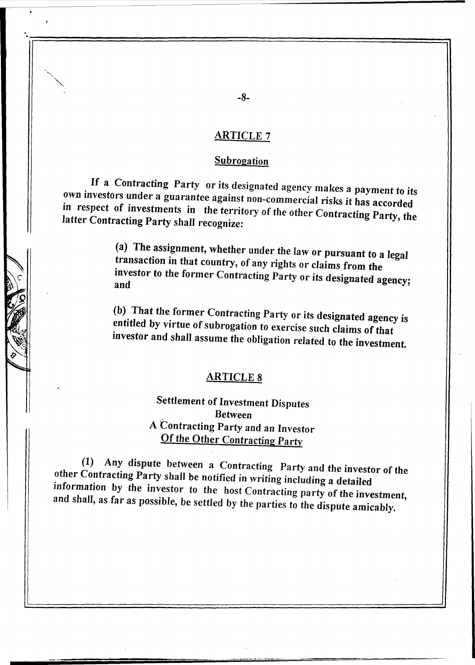#### **Subrogation**

If a Contracting Party or its designated agency makes a payment to *its*  own investors under a guarantee against non-commercial risks it has accorded in respect of investments in the territory of the other Contracting Party, the latter Contracting Party *shall* recognize:

> (a) The assignment, whether under the law or pursuant to a legal transaction in that country, of any rights or claims from the investor to the former Contracting Party or its designated agency; and

> (b) That the former Contracting Party or its designated agency is entitled by virtue of subrogation to exercise such claims of that investor and shall assume the obligation related to the investment.

#### ARTICLE 8

# Settlement of Investment Disputes Between A Contracting Party and an Investor Of the Other Contracting Party

(1) Any dispute between a Contracting Party and the investor of the other Contracting Party shall be notified in writing including a detailed information by the investor to the host Contracting party of the investment, and shall, as far as possible, be settled by the parties to the dispute amicably.

'.:-=========================================~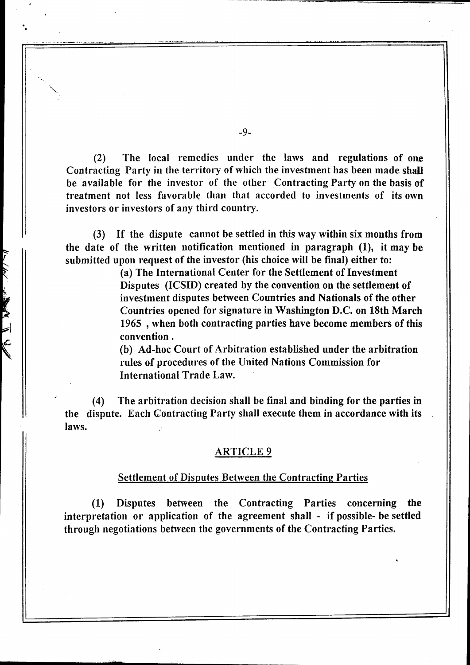$(2)$  The local remedies under the laws and regulations of one Contracting Party in the territory of which the investment has been made shall be available for the investor of the other Contracting Party on the basis of treatment not less favorable than that accorded to investments of its own investors or investors of any third country.

(3) If the dispute cannot be settled in this way within six months from the date of the written notification mentioned in paragraph (1), it may be submitted upon request of the investor (his choice will be final) either to:

> (a) The International Center for the Settlement of Investment Disputes (ICSID) created by the convention on the settlement of investment disputes between Countries and Nationals of the other Countries opened for signature in Washington D.C. on 18th March 1965 ,when both contracting parties have become members of this convention.

(b) Ad-hoc Court of Arbitration established under the arbitration rules of procedures of the United Nations Commission for International Trade Law.

(4) The arbitration decision shall be final and binding for the parties in the dispute. Each Contracting Party shall execute them in accordance with its laws.

#### ARTICLE 9

#### Settlement of Disputes Between the Contracting Parties

(1) Disputes between the Contracting Parties concerning the interpretation or application of the agreement shall - if possible- be settled through negotiations between the governments of the Contracting Parties.

-9-

'" '".

 $\frac{1}{\sqrt{2}}$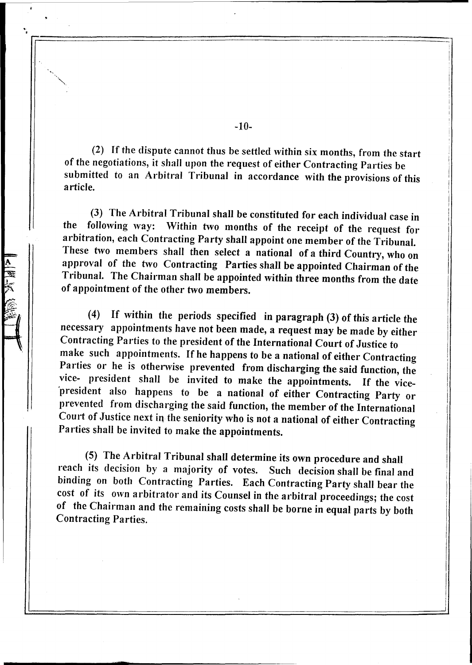(2) If the dispute cannot thus be settled within six months, from the start of the negotiations, it shall upon the request of either Contracting Parties be submitted to an Arbitral Tribunal in accordance with the provisions of this article.

(3) The Arbitral Tribunal shall be constituted for each individual case in following way: Within two months of the receipt of the request for the following way: Within two months of the receipt of the request for arbitration, each Contracting Party shall appoint one member of the Tribunal. These two members shall then select a national of a third Country, who on approval of the two Contracting Parties shall be appointed Chairman of the Tribunal. The Chairman shall be appointed within three months from the date of appointment of the other two members.

(4) If within the periods specified in paragraph (3) of this article the necessary appointments have not been made, a request may be made by either Contracting Parties to the president of the International Court of Justice to make such appointments. If he happens to be a national of either Contracting Parties or he is otherwise prevented from discharging the said function, the vice. president shall be invited to make the appointments. If the vice- 'president also happens to be a national of either Contracting Party or prevented from discharging the said function, the member of the International Court of Justice next in the seniority who is not a national of either Contracting Parties shall be invited to make the appointments.

(5) The Arbitral Tribunal shall determine its own procedure and shall reach its decision by a majority of votes. Such decision shall be final and binding on both Contracting Parties. Each Contracting Party shall bear the cost of its own arbitrator and its Counsel in the arbitral proceedings; the cost of the Chairman and the remaining costs shall be borne in equal parts by both Contracting Parties.

**ttt** 

A 深深

-10-

'. r~==================--====--=====:::::::===========-==---==--==----=----=·--=========~l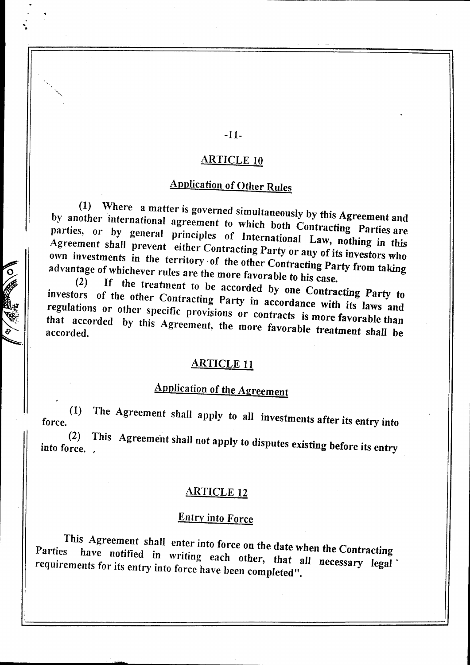## -11-

. .

#### ARTICLE 10

# Application of Other Rules

(1) Where a matter is governed simultaneously by this Agreement and by another international agreement to which both Contracting Parties are parties, or by general principles of International Law, nothing in this Agreement shall prevent either Contracting Party or any of its investors who own investments in the territory' of the other Contracting Party from taking advantage of whichever rules are the more favorable to his case.<br>(2) If the treatment to l

If the treatment to be accorded by one Contracting Party to investors of the other Contracting Party in accordance with its laws and regulations or other specific provisions or contracts is more favorable than that accorded by this Agreement, the more favorable treatment shall be

## ARTICLE 11

# Application of the Agreement

force. (1) The Agreement shall apply to aU investments after its entry into

(2) This Agreement shall not apply to disputes existing before its entry into force. ,

# ARTICLE 12

# Entry into Force

This Agreement shall enter into force on the date when the Contracting<br>Parties have notified in whiting stall in the date when the Contracting have notified in writing each other, that all necessary legal requirements for its entry into force have been completed".